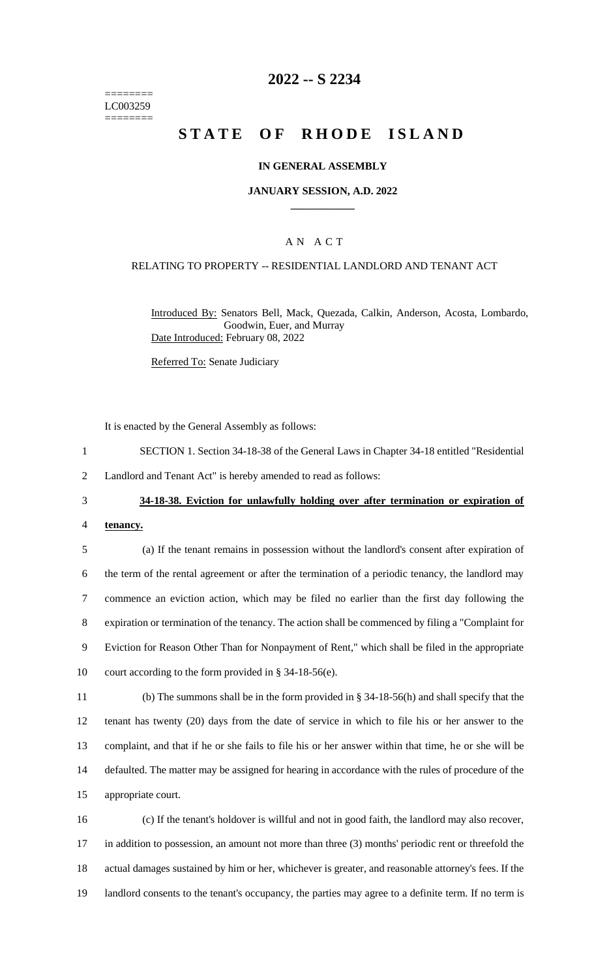======== LC003259 ========

### **2022 -- S 2234**

# **STATE OF RHODE ISLAND**

#### **IN GENERAL ASSEMBLY**

#### **JANUARY SESSION, A.D. 2022 \_\_\_\_\_\_\_\_\_\_\_\_**

### A N A C T

#### RELATING TO PROPERTY -- RESIDENTIAL LANDLORD AND TENANT ACT

Introduced By: Senators Bell, Mack, Quezada, Calkin, Anderson, Acosta, Lombardo, Goodwin, Euer, and Murray Date Introduced: February 08, 2022

Referred To: Senate Judiciary

It is enacted by the General Assembly as follows:

- 1 SECTION 1. Section 34-18-38 of the General Laws in Chapter 34-18 entitled "Residential
- 2 Landlord and Tenant Act" is hereby amended to read as follows:

### 3 **34-18-38. Eviction for unlawfully holding over after termination or expiration of**

4 **tenancy.**

 (a) If the tenant remains in possession without the landlord's consent after expiration of the term of the rental agreement or after the termination of a periodic tenancy, the landlord may commence an eviction action, which may be filed no earlier than the first day following the expiration or termination of the tenancy. The action shall be commenced by filing a "Complaint for Eviction for Reason Other Than for Nonpayment of Rent," which shall be filed in the appropriate court according to the form provided in § 34-18-56(e).

 (b) The summons shall be in the form provided in § 34-18-56(h) and shall specify that the tenant has twenty (20) days from the date of service in which to file his or her answer to the complaint, and that if he or she fails to file his or her answer within that time, he or she will be defaulted. The matter may be assigned for hearing in accordance with the rules of procedure of the appropriate court.

 (c) If the tenant's holdover is willful and not in good faith, the landlord may also recover, in addition to possession, an amount not more than three (3) months' periodic rent or threefold the actual damages sustained by him or her, whichever is greater, and reasonable attorney's fees. If the 19 landlord consents to the tenant's occupancy, the parties may agree to a definite term. If no term is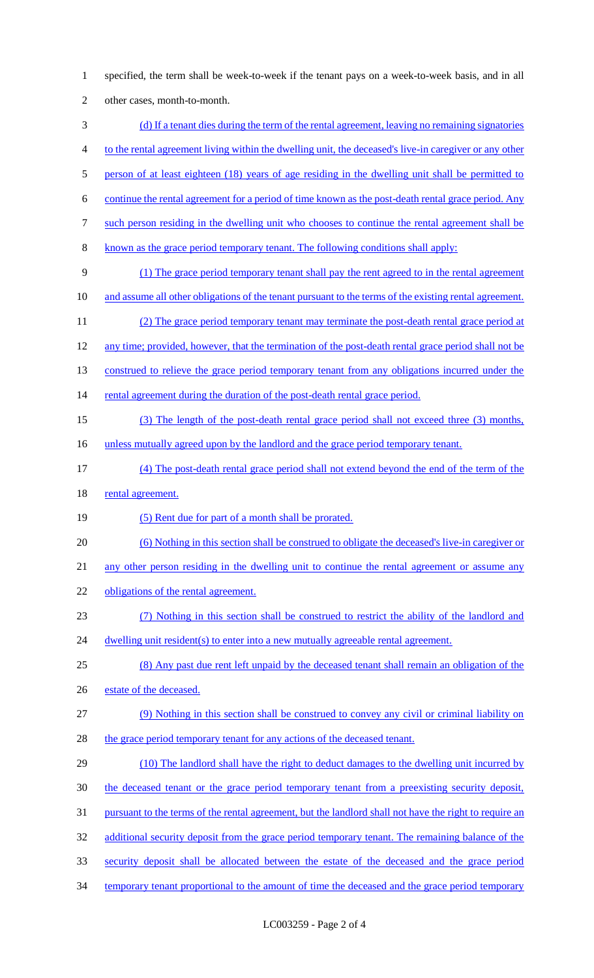specified, the term shall be week-to-week if the tenant pays on a week-to-week basis, and in all other cases, month-to-month. (d) If a tenant dies during the term of the rental agreement, leaving no remaining signatories to the rental agreement living within the dwelling unit, the deceased's live-in caregiver or any other 5 person of at least eighteen (18) years of age residing in the dwelling unit shall be permitted to continue the rental agreement for a period of time known as the post-death rental grace period. Any such person residing in the dwelling unit who chooses to continue the rental agreement shall be known as the grace period temporary tenant. The following conditions shall apply: (1) The grace period temporary tenant shall pay the rent agreed to in the rental agreement 10 and assume all other obligations of the tenant pursuant to the terms of the existing rental agreement. (2) The grace period temporary tenant may terminate the post-death rental grace period at any time; provided, however, that the termination of the post-death rental grace period shall not be 13 construed to relieve the grace period temporary tenant from any obligations incurred under the 14 rental agreement during the duration of the post-death rental grace period. (3) The length of the post-death rental grace period shall not exceed three (3) months, 16 unless mutually agreed upon by the landlord and the grace period temporary tenant. (4) The post-death rental grace period shall not extend beyond the end of the term of the 18 rental agreement. (5) Rent due for part of a month shall be prorated. (6) Nothing in this section shall be construed to obligate the deceased's live-in caregiver or any other person residing in the dwelling unit to continue the rental agreement or assume any 22 obligations of the rental agreement. (7) Nothing in this section shall be construed to restrict the ability of the landlord and 24 dwelling unit resident(s) to enter into a new mutually agreeable rental agreement. (8) Any past due rent left unpaid by the deceased tenant shall remain an obligation of the 26 estate of the deceased. (9) Nothing in this section shall be construed to convey any civil or criminal liability on 28 the grace period temporary tenant for any actions of the deceased tenant. (10) The landlord shall have the right to deduct damages to the dwelling unit incurred by 30 the deceased tenant or the grace period temporary tenant from a preexisting security deposit, pursuant to the terms of the rental agreement, but the landlord shall not have the right to require an 32 additional security deposit from the grace period temporary tenant. The remaining balance of the security deposit shall be allocated between the estate of the deceased and the grace period 34 temporary tenant proportional to the amount of time the deceased and the grace period temporary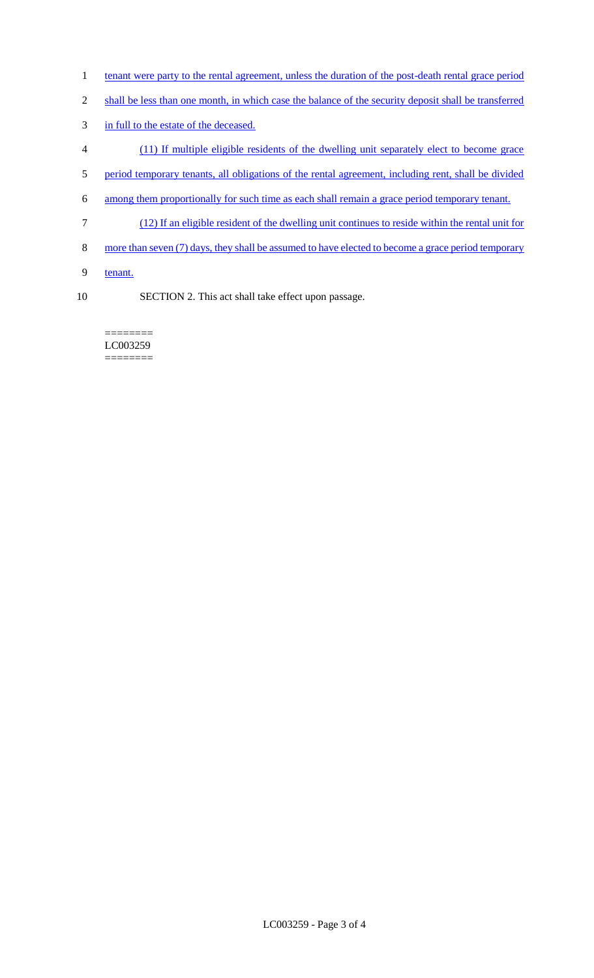- 1 tenant were party to the rental agreement, unless the duration of the post-death rental grace period
- 2 shall be less than one month, in which case the balance of the security deposit shall be transferred
- 3 in full to the estate of the deceased.
- 4 (11) If multiple eligible residents of the dwelling unit separately elect to become grace
- 5 period temporary tenants, all obligations of the rental agreement, including rent, shall be divided
- 6 among them proportionally for such time as each shall remain a grace period temporary tenant.
- 7 (12) If an eligible resident of the dwelling unit continues to reside within the rental unit for
- 8 more than seven (7) days, they shall be assumed to have elected to become a grace period temporary
- 9 tenant.
- 10 SECTION 2. This act shall take effect upon passage.

======== LC003259 ========